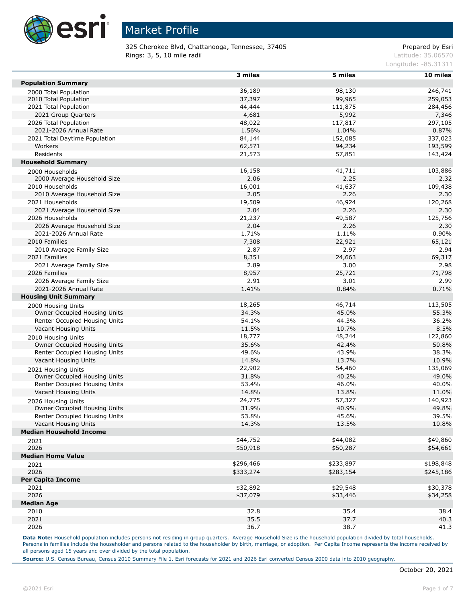

325 Cherokee Blvd, Chattanooga, Tennessee, 37405 Prepared by Esri Rings: 3, 5, 10 mile radii and the contract of the contract of the contract of the contract of the contract of the contract of the contract of the contract of the contract of the contract of the contract of the contract of

Longitude: -85.31311

|                                | 3 miles   | 5 miles   | 10 miles  |
|--------------------------------|-----------|-----------|-----------|
| <b>Population Summary</b>      |           |           |           |
| 2000 Total Population          | 36,189    | 98,130    | 246,741   |
| 2010 Total Population          | 37,397    | 99,965    | 259,053   |
| 2021 Total Population          | 44,444    | 111,875   | 284,456   |
| 2021 Group Quarters            | 4,681     | 5,992     | 7,346     |
| 2026 Total Population          | 48,022    | 117,817   | 297,105   |
| 2021-2026 Annual Rate          | 1.56%     | 1.04%     | 0.87%     |
| 2021 Total Daytime Population  | 84,144    | 152,085   | 337,023   |
| Workers                        | 62,571    | 94,234    | 193,599   |
| Residents                      | 21,573    | 57,851    | 143,424   |
| <b>Household Summary</b>       |           |           |           |
| 2000 Households                | 16,158    | 41,711    | 103,886   |
| 2000 Average Household Size    | 2.06      | 2.25      | 2.32      |
| 2010 Households                | 16,001    | 41,637    | 109,438   |
| 2010 Average Household Size    | 2.05      | 2.26      | 2.30      |
| 2021 Households                | 19,509    | 46,924    | 120,268   |
| 2021 Average Household Size    | 2.04      | 2.26      | 2.30      |
| 2026 Households                | 21,237    | 49,587    | 125,756   |
| 2026 Average Household Size    | 2.04      | 2.26      | 2.30      |
| 2021-2026 Annual Rate          | 1.71%     | 1.11%     | 0.90%     |
| 2010 Families                  | 7,308     | 22,921    | 65,121    |
| 2010 Average Family Size       | 2.87      | 2.97      | 2.94      |
| 2021 Families                  | 8,351     | 24,663    | 69,317    |
| 2021 Average Family Size       | 2.89      | 3.00      | 2.98      |
| 2026 Families                  | 8,957     | 25,721    | 71,798    |
| 2026 Average Family Size       | 2.91      | 3.01      | 2.99      |
| 2021-2026 Annual Rate          | 1.41%     | 0.84%     | 0.71%     |
|                                |           |           |           |
| <b>Housing Unit Summary</b>    |           |           |           |
| 2000 Housing Units             | 18,265    | 46,714    | 113,505   |
| Owner Occupied Housing Units   | 34.3%     | 45.0%     | 55.3%     |
| Renter Occupied Housing Units  | 54.1%     | 44.3%     | 36.2%     |
| Vacant Housing Units           | 11.5%     | 10.7%     | 8.5%      |
| 2010 Housing Units             | 18,777    | 48,244    | 122,860   |
| Owner Occupied Housing Units   | 35.6%     | 42.4%     | 50.8%     |
| Renter Occupied Housing Units  | 49.6%     | 43.9%     | 38.3%     |
| Vacant Housing Units           | 14.8%     | 13.7%     | 10.9%     |
| 2021 Housing Units             | 22,902    | 54,460    | 135,069   |
| Owner Occupied Housing Units   | 31.8%     | 40.2%     | 49.0%     |
| Renter Occupied Housing Units  | 53.4%     | 46.0%     | 40.0%     |
| Vacant Housing Units           | 14.8%     | 13.8%     | 11.0%     |
| 2026 Housing Units             | 24,775    | 57,327    | 140,923   |
| Owner Occupied Housing Units   | 31.9%     | 40.9%     | 49.8%     |
| Renter Occupied Housing Units  | 53.8%     | 45.6%     | 39.5%     |
| Vacant Housing Units           | 14.3%     | 13.5%     | 10.8%     |
| <b>Median Household Income</b> |           |           |           |
| 2021                           | \$44,752  | \$44,082  | \$49,860  |
| 2026                           | \$50,918  | \$50,287  | \$54,661  |
| <b>Median Home Value</b>       |           |           |           |
| 2021                           | \$296,466 | \$233,897 | \$198,848 |
| 2026                           | \$333,274 | \$283,154 | \$245,186 |
| <b>Per Capita Income</b>       |           |           |           |
| 2021                           | \$32,892  | \$29,548  | \$30,378  |
| 2026                           | \$37,079  | \$33,446  | \$34,258  |
| <b>Median Age</b>              |           |           |           |
| 2010                           | 32.8      | 35.4      | 38.4      |
| 2021                           | 35.5      | 37.7      | 40.3      |
| 2026                           | 36.7      | 38.7      | 41.3      |
|                                |           |           |           |

Data Note: Household population includes persons not residing in group quarters. Average Household Size is the household population divided by total households. Persons in families include the householder and persons related to the householder by birth, marriage, or adoption. Per Capita Income represents the income received by all persons aged 15 years and over divided by the total population.

**Source:** U.S. Census Bureau, Census 2010 Summary File 1. Esri forecasts for 2021 and 2026 Esri converted Census 2000 data into 2010 geography.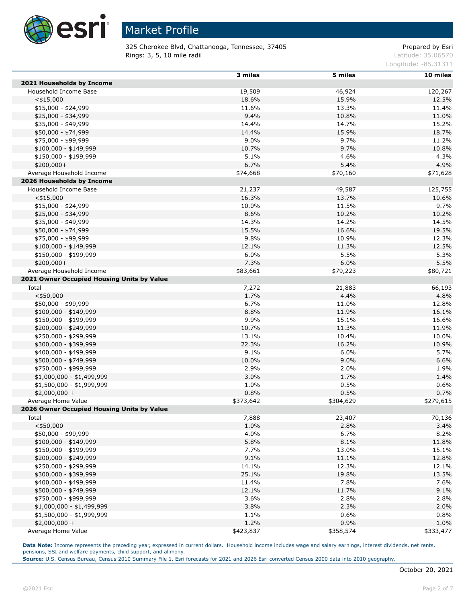

325 Cherokee Blvd, Chattanooga, Tennessee, 37405 Prepared by Esri Rings: 3, 5, 10 mile radii and the contract of the contract of the contract of the contract of the contract of the contract of the contract of the contract of the contract of the contract of the contract of the contract of

Longitude: -85.31311

|                                            | 3 miles   | 5 miles   | 10 miles  |
|--------------------------------------------|-----------|-----------|-----------|
| 2021 Households by Income                  |           |           |           |
| Household Income Base                      | 19,509    | 46,924    | 120,267   |
| $<$ \$15,000                               | 18.6%     | 15.9%     | 12.5%     |
| \$15,000 - \$24,999                        | 11.6%     | 13.3%     | 11.4%     |
| \$25,000 - \$34,999                        | 9.4%      | 10.8%     | 11.0%     |
| \$35,000 - \$49,999                        | 14.4%     | 14.7%     | 15.2%     |
| \$50,000 - \$74,999                        | 14.4%     | 15.9%     | 18.7%     |
| \$75,000 - \$99,999                        | 9.0%      | 9.7%      | 11.2%     |
| $$100,000 - $149,999$                      | 10.7%     | 9.7%      | 10.8%     |
| \$150,000 - \$199,999                      | 5.1%      | 4.6%      | 4.3%      |
| $$200,000+$                                | 6.7%      | 5.4%      | 4.9%      |
| Average Household Income                   | \$74,668  | \$70,160  | \$71,628  |
| 2026 Households by Income                  |           |           |           |
| Household Income Base                      | 21,237    | 49,587    | 125,755   |
| $<$ \$15,000                               | 16.3%     | 13.7%     | 10.6%     |
| $$15,000 - $24,999$                        | 10.0%     | 11.5%     | 9.7%      |
| \$25,000 - \$34,999                        | 8.6%      | 10.2%     | 10.2%     |
| \$35,000 - \$49,999                        | 14.3%     | 14.2%     | 14.5%     |
| \$50,000 - \$74,999                        | 15.5%     | 16.6%     | 19.5%     |
| \$75,000 - \$99,999                        | 9.8%      | 10.9%     | 12.3%     |
| \$100,000 - \$149,999                      | 12.1%     | 11.3%     | 12.5%     |
| \$150,000 - \$199,999                      | 6.0%      | 5.5%      | 5.3%      |
| \$200,000+                                 | 7.3%      | 6.0%      | 5.5%      |
| Average Household Income                   | \$83,661  | \$79,223  | \$80,721  |
| 2021 Owner Occupied Housing Units by Value |           |           |           |
| Total                                      | 7,272     | 21,883    | 66,193    |
| $<$ \$50,000                               | 1.7%      | 4.4%      | 4.8%      |
| \$50,000 - \$99,999                        | 6.7%      | 11.0%     | 12.8%     |
| $$100,000 - $149,999$                      | 8.8%      | 11.9%     | 16.1%     |
| \$150,000 - \$199,999                      | 9.9%      | 15.1%     | 16.6%     |
| \$200,000 - \$249,999                      | 10.7%     | 11.3%     | 11.9%     |
| \$250,000 - \$299,999                      | 13.1%     | 10.4%     | 10.0%     |
| \$300,000 - \$399,999                      | 22.3%     | 16.2%     | 10.9%     |
| \$400,000 - \$499,999                      | 9.1%      | 6.0%      | 5.7%      |
| \$500,000 - \$749,999                      | 10.0%     | 9.0%      | 6.6%      |
| \$750,000 - \$999,999                      | 2.9%      | 2.0%      | 1.9%      |
| $$1,000,000 - $1,499,999$                  | 3.0%      | 1.7%      | 1.4%      |
| \$1,500,000 - \$1,999,999                  | 1.0%      | 0.5%      | 0.6%      |
| $$2,000,000 +$                             | 0.8%      | 0.5%      | 0.7%      |
| Average Home Value                         | \$373,642 | \$304,629 | \$279,615 |
| 2026 Owner Occupied Housing Units by Value |           |           |           |
| Total                                      | 7,888     | 23,407    | 70,136    |
| $<$ \$50,000                               | 1.0%      | 2.8%      | 3.4%      |
| \$50,000 - \$99,999                        | 4.0%      | 6.7%      | 8.2%      |
| $$100,000 - $149,999$                      | 5.8%      | 8.1%      | 11.8%     |
| \$150,000 - \$199,999                      | 7.7%      | 13.0%     | 15.1%     |
| \$200,000 - \$249,999                      | 9.1%      | 11.1%     | 12.8%     |
| \$250,000 - \$299,999                      | 14.1%     | 12.3%     | 12.1%     |
| \$300,000 - \$399,999                      | 25.1%     | 19.8%     | 13.5%     |
| \$400,000 - \$499,999                      | 11.4%     | 7.8%      | 7.6%      |
| \$500,000 - \$749,999                      | 12.1%     | 11.7%     | 9.1%      |
| \$750,000 - \$999,999                      | 3.6%      | 2.8%      | 2.8%      |
| $$1,000,000 - $1,499,999$                  | 3.8%      | 2.3%      | 2.0%      |
| $$1,500,000 - $1,999,999$                  | 1.1%      | 0.6%      | 0.8%      |
| $$2,000,000 +$                             | 1.2%      | 0.9%      | 1.0%      |
| Average Home Value                         | \$423,837 | \$358,574 | \$333,477 |

Data Note: Income represents the preceding year, expressed in current dollars. Household income includes wage and salary earnings, interest dividends, net rents, pensions, SSI and welfare payments, child support, and alimony.

**Source:** U.S. Census Bureau, Census 2010 Summary File 1. Esri forecasts for 2021 and 2026 Esri converted Census 2000 data into 2010 geography.

Г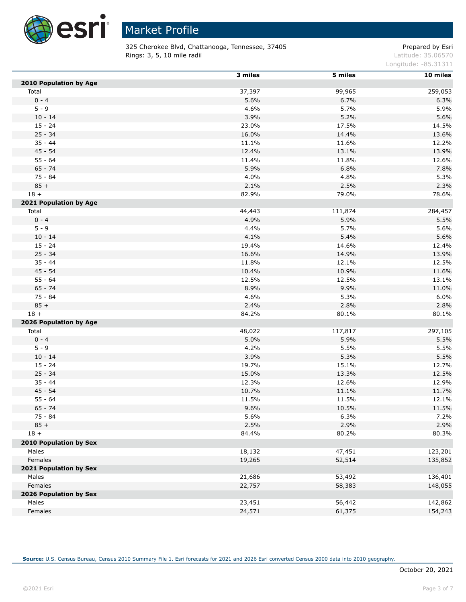

 $\overline{a}$ 

# Market Profile

325 Cherokee Blvd, Chattanooga, Tennessee, 37405 Prepared by Esri Rings: 3, 5, 10 mile radii and the contract of the contract of the contract of the contract of the contract of the contract of the contract of the contract of the contract of the contract of the contract of the contract of

Longitude: -85.31311

|                        | 3 miles | 5 miles | 10 miles |
|------------------------|---------|---------|----------|
| 2010 Population by Age |         |         |          |
| Total                  | 37,397  | 99,965  | 259,053  |
| $0 - 4$                | 5.6%    | 6.7%    | 6.3%     |
| $5 - 9$                | 4.6%    | 5.7%    | 5.9%     |
| $10 - 14$              | 3.9%    | 5.2%    | 5.6%     |
| $15 - 24$              | 23.0%   | 17.5%   | 14.5%    |
| $25 - 34$              | 16.0%   | 14.4%   | 13.6%    |
| $35 - 44$              | 11.1%   | 11.6%   | 12.2%    |
| $45 - 54$              | 12.4%   | 13.1%   | 13.9%    |
| $55 - 64$              | 11.4%   | 11.8%   | 12.6%    |
| $65 - 74$              | 5.9%    | 6.8%    | 7.8%     |
| $75 - 84$              | 4.0%    | 4.8%    | 5.3%     |
| $85 +$                 | 2.1%    | 2.5%    | 2.3%     |
| $18 +$                 | 82.9%   | 79.0%   | 78.6%    |
| 2021 Population by Age |         |         |          |
| Total                  | 44,443  | 111,874 | 284,457  |
| $0 - 4$                | 4.9%    | 5.9%    | 5.5%     |
| $5 - 9$                | 4.4%    | 5.7%    | 5.6%     |
| $10 - 14$              | 4.1%    | 5.4%    | 5.6%     |
| $15 - 24$              | 19.4%   | 14.6%   | 12.4%    |
| $25 - 34$              | 16.6%   | 14.9%   | 13.9%    |
| $35 - 44$              | 11.8%   | 12.1%   | 12.5%    |
| $45 - 54$              | 10.4%   | 10.9%   | 11.6%    |
| $55 - 64$              | 12.5%   | 12.5%   | 13.1%    |
| $65 - 74$              | 8.9%    | 9.9%    | 11.0%    |
| $75 - 84$              | 4.6%    | 5.3%    | 6.0%     |
| $85 +$                 | 2.4%    | 2.8%    | 2.8%     |
| $18 +$                 | 84.2%   | 80.1%   | 80.1%    |
| 2026 Population by Age |         |         |          |
| Total                  | 48,022  | 117,817 | 297,105  |
| $0 - 4$                | 5.0%    | 5.9%    | 5.5%     |
| $5 - 9$                | 4.2%    | 5.5%    | 5.5%     |
| $10 - 14$              | 3.9%    | 5.3%    | 5.5%     |
| $15 - 24$              | 19.7%   | 15.1%   | 12.7%    |
| $25 - 34$              | 15.0%   | 13.3%   | 12.5%    |
| $35 - 44$              | 12.3%   | 12.6%   | 12.9%    |
| $45 - 54$              | 10.7%   | 11.1%   | 11.7%    |
| $55 - 64$              | 11.5%   | 11.5%   | 12.1%    |
| $65 - 74$              | 9.6%    | 10.5%   | 11.5%    |
| 75 - 84                | 5.6%    | 6.3%    | 7.2%     |
| $85 +$                 | 2.5%    | 2.9%    | 2.9%     |
| $18 +$                 | 84.4%   | 80.2%   | 80.3%    |
| 2010 Population by Sex |         |         |          |
| Males                  | 18,132  | 47,451  | 123,201  |
| Females                | 19,265  | 52,514  | 135,852  |
| 2021 Population by Sex |         |         |          |
| Males                  | 21,686  | 53,492  | 136,401  |
| Females                | 22,757  | 58,383  | 148,055  |
| 2026 Population by Sex |         |         |          |
| Males                  | 23,451  | 56,442  | 142,862  |
| Females                | 24,571  | 61,375  | 154,243  |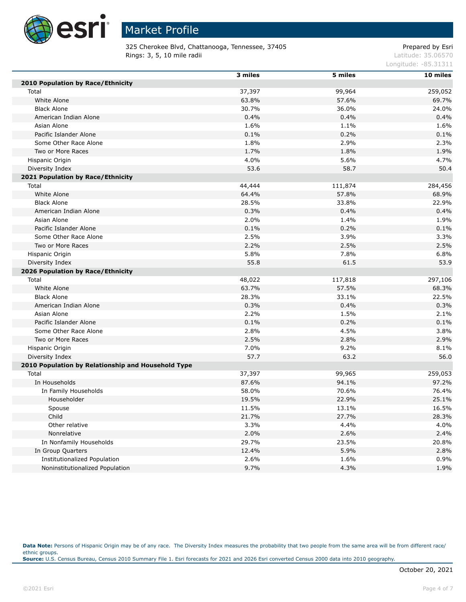

325 Cherokee Blvd, Chattanooga, Tennessee, 37405 Prepared by Esri **Rings: 3, 5, 10 mile radii** Latitude: 35.06570

Longitude: -85.31311

|                                                    | 3 miles | 5 miles | 10 miles |
|----------------------------------------------------|---------|---------|----------|
| 2010 Population by Race/Ethnicity                  |         |         |          |
| Total                                              | 37,397  | 99,964  | 259,052  |
| White Alone                                        | 63.8%   | 57.6%   | 69.7%    |
| <b>Black Alone</b>                                 | 30.7%   | 36.0%   | 24.0%    |
| American Indian Alone                              | 0.4%    | 0.4%    | 0.4%     |
| Asian Alone                                        | 1.6%    | 1.1%    | 1.6%     |
| Pacific Islander Alone                             | 0.1%    | 0.2%    | 0.1%     |
| Some Other Race Alone                              | 1.8%    | 2.9%    | 2.3%     |
| Two or More Races                                  | 1.7%    | 1.8%    | 1.9%     |
| Hispanic Origin                                    | 4.0%    | 5.6%    | 4.7%     |
| Diversity Index                                    | 53.6    | 58.7    | 50.4     |
| 2021 Population by Race/Ethnicity                  |         |         |          |
| Total                                              | 44,444  | 111,874 | 284,456  |
| White Alone                                        | 64.4%   | 57.8%   | 68.9%    |
| <b>Black Alone</b>                                 | 28.5%   | 33.8%   | 22.9%    |
| American Indian Alone                              | 0.3%    | 0.4%    | 0.4%     |
| Asian Alone                                        | 2.0%    | 1.4%    | 1.9%     |
| Pacific Islander Alone                             | 0.1%    | 0.2%    | 0.1%     |
| Some Other Race Alone                              | 2.5%    | 3.9%    | 3.3%     |
| Two or More Races                                  | 2.2%    | 2.5%    | 2.5%     |
| Hispanic Origin                                    | 5.8%    | 7.8%    | 6.8%     |
| Diversity Index                                    | 55.8    | 61.5    | 53.9     |
| 2026 Population by Race/Ethnicity                  |         |         |          |
| Total                                              | 48,022  | 117,818 | 297,106  |
| White Alone                                        | 63.7%   | 57.5%   | 68.3%    |
| <b>Black Alone</b>                                 | 28.3%   | 33.1%   | 22.5%    |
| American Indian Alone                              | 0.3%    | 0.4%    | 0.3%     |
| Asian Alone                                        | 2.2%    | 1.5%    | 2.1%     |
| Pacific Islander Alone                             | 0.1%    | 0.2%    | 0.1%     |
| Some Other Race Alone                              | 2.8%    | 4.5%    | 3.8%     |
| Two or More Races                                  | 2.5%    | 2.8%    | 2.9%     |
| Hispanic Origin                                    | 7.0%    | 9.2%    | 8.1%     |
| Diversity Index                                    | 57.7    | 63.2    | 56.0     |
| 2010 Population by Relationship and Household Type |         |         |          |
| Total                                              | 37,397  | 99,965  | 259,053  |
| In Households                                      | 87.6%   | 94.1%   | 97.2%    |
| In Family Households                               | 58.0%   | 70.6%   | 76.4%    |
| Householder                                        | 19.5%   | 22.9%   | 25.1%    |
| Spouse                                             | 11.5%   | 13.1%   | 16.5%    |
| Child                                              | 21.7%   | 27.7%   | 28.3%    |
| Other relative                                     | 3.3%    | 4.4%    | 4.0%     |
| Nonrelative                                        | 2.0%    | 2.6%    | 2.4%     |
| In Nonfamily Households                            | 29.7%   | 23.5%   | 20.8%    |
| In Group Quarters                                  | 12.4%   | 5.9%    | 2.8%     |
| <b>Institutionalized Population</b>                | 2.6%    | 1.6%    | 0.9%     |
| Noninstitutionalized Population                    | 9.7%    | 4.3%    | 1.9%     |

Data Note: Persons of Hispanic Origin may be of any race. The Diversity Index measures the probability that two people from the same area will be from different race/ ethnic groups. **Source:** U.S. Census Bureau, Census 2010 Summary File 1. Esri forecasts for 2021 and 2026 Esri converted Census 2000 data into 2010 geography.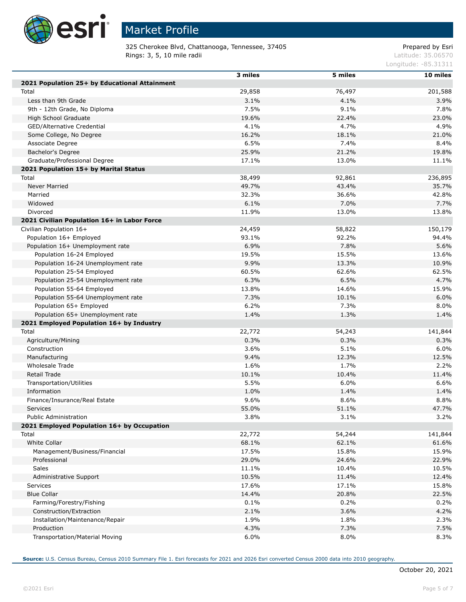

Г

Г

Г

# Market Profile

325 Cherokee Blvd, Chattanooga, Tennessee, 37405 Prepared by Esri Rings: 3, 5, 10 mile radii and the contract of the contract of the contract of the contract of the contract of the contract of the contract of the contract of the contract of the contract of the contract of the contract of

Longitude: -85.31311

|                                               | 3 miles | 5 miles | $10$ miles |
|-----------------------------------------------|---------|---------|------------|
| 2021 Population 25+ by Educational Attainment |         |         |            |
| Total                                         | 29,858  | 76,497  | 201,588    |
| Less than 9th Grade                           | 3.1%    | 4.1%    | 3.9%       |
| 9th - 12th Grade, No Diploma                  | 7.5%    | 9.1%    | 7.8%       |
| High School Graduate                          | 19.6%   | 22.4%   | 23.0%      |
| GED/Alternative Credential                    | 4.1%    | 4.7%    | 4.9%       |
| Some College, No Degree                       | 16.2%   | 18.1%   | 21.0%      |
| Associate Degree                              | 6.5%    | 7.4%    | 8.4%       |
| Bachelor's Degree                             | 25.9%   | 21.2%   | 19.8%      |
| Graduate/Professional Degree                  | 17.1%   | 13.0%   | 11.1%      |
| 2021 Population 15+ by Marital Status         |         |         |            |
|                                               |         |         |            |
| Total                                         | 38,499  | 92,861  | 236,895    |
| Never Married                                 | 49.7%   | 43.4%   | 35.7%      |
| Married                                       | 32.3%   | 36.6%   | 42.8%      |
| Widowed                                       | 6.1%    | 7.0%    | 7.7%       |
| Divorced                                      | 11.9%   | 13.0%   | 13.8%      |
| 2021 Civilian Population 16+ in Labor Force   |         |         |            |
| Civilian Population 16+                       | 24,459  | 58,822  | 150,179    |
| Population 16+ Employed                       | 93.1%   | 92.2%   | 94.4%      |
| Population 16+ Unemployment rate              | 6.9%    | 7.8%    | 5.6%       |
| Population 16-24 Employed                     | 19.5%   | 15.5%   | 13.6%      |
| Population 16-24 Unemployment rate            | 9.9%    | 13.3%   | 10.9%      |
| Population 25-54 Employed                     | 60.5%   | 62.6%   | 62.5%      |
| Population 25-54 Unemployment rate            | 6.3%    | 6.5%    | 4.7%       |
| Population 55-64 Employed                     | 13.8%   | 14.6%   | 15.9%      |
| Population 55-64 Unemployment rate            | 7.3%    | 10.1%   | 6.0%       |
| Population 65+ Employed                       | 6.2%    | 7.3%    | 8.0%       |
| Population 65+ Unemployment rate              | 1.4%    | 1.3%    | 1.4%       |
| 2021 Employed Population 16+ by Industry      |         |         |            |
| Total                                         | 22,772  | 54,243  | 141,844    |
| Agriculture/Mining                            | 0.3%    | 0.3%    | 0.3%       |
| Construction                                  | 3.6%    | 5.1%    | 6.0%       |
| Manufacturing                                 | 9.4%    | 12.3%   | 12.5%      |
| Wholesale Trade                               | 1.6%    | 1.7%    | 2.2%       |
| Retail Trade                                  | 10.1%   | 10.4%   | 11.4%      |
| Transportation/Utilities                      | 5.5%    | 6.0%    | 6.6%       |
| Information                                   | 1.0%    | 1.4%    | 1.4%       |
| Finance/Insurance/Real Estate                 | 9.6%    | 8.6%    | 8.8%       |
| <b>Services</b>                               | 55.0%   | 51.1%   | 47.7%      |
| Public Administration                         | 3.8%    | 3.1%    | 3.2%       |
| 2021 Employed Population 16+ by Occupation    |         |         |            |
| Total                                         | 22,772  | 54,244  | 141,844    |
| White Collar                                  | 68.1%   | 62.1%   | 61.6%      |
| Management/Business/Financial                 | 17.5%   | 15.8%   | 15.9%      |
| Professional                                  | 29.0%   | 24.6%   | 22.9%      |
| Sales                                         | 11.1%   | 10.4%   | 10.5%      |
| Administrative Support                        | 10.5%   | 11.4%   | 12.4%      |
| <b>Services</b>                               | 17.6%   | 17.1%   | 15.8%      |
| <b>Blue Collar</b>                            | 14.4%   | 20.8%   | 22.5%      |
| Farming/Forestry/Fishing                      | 0.1%    | 0.2%    | 0.2%       |
| Construction/Extraction                       | 2.1%    | 3.6%    | 4.2%       |
| Installation/Maintenance/Repair               | 1.9%    | 1.8%    | 2.3%       |
| Production                                    | 4.3%    | 7.3%    | 7.5%       |
| Transportation/Material Moving                | 6.0%    | 8.0%    | 8.3%       |
|                                               |         |         |            |

**Source:** U.S. Census Bureau, Census 2010 Summary File 1. Esri forecasts for 2021 and 2026 Esri converted Census 2000 data into 2010 geography.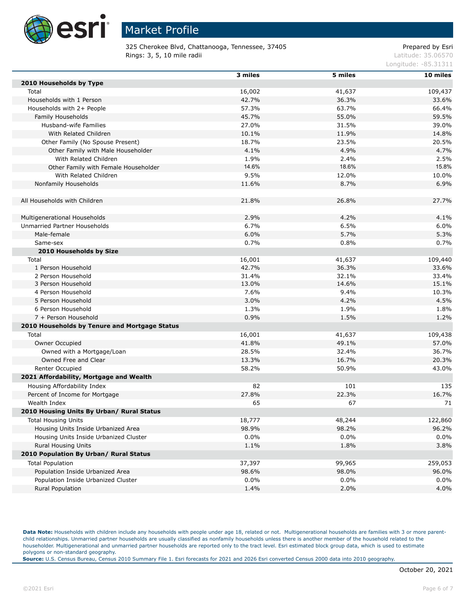

325 Cherokee Blvd, Chattanooga, Tennessee, 37405 Prepared by Esri Rings: 3, 5, 10 mile radii and the contract of the contract of the contract of the contract of the contract of the contract of the contract of the contract of the contract of the contract of the contract of the contract of

Longitude: -85.31311

|                                               | 3 miles | 5 miles | 10 miles |
|-----------------------------------------------|---------|---------|----------|
| 2010 Households by Type                       |         |         |          |
| Total                                         | 16,002  | 41,637  | 109,437  |
| Households with 1 Person                      | 42.7%   | 36.3%   | 33.6%    |
| Households with 2+ People                     | 57.3%   | 63.7%   | 66.4%    |
| Family Households                             | 45.7%   | 55.0%   | 59.5%    |
| Husband-wife Families                         | 27.0%   | 31.5%   | 39.0%    |
| With Related Children                         | 10.1%   | 11.9%   | 14.8%    |
| Other Family (No Spouse Present)              | 18.7%   | 23.5%   | 20.5%    |
| Other Family with Male Householder            | 4.1%    | 4.9%    | 4.7%     |
| With Related Children                         | 1.9%    | 2.4%    | 2.5%     |
| Other Family with Female Householder          | 14.6%   | 18.6%   | 15.8%    |
| With Related Children                         | 9.5%    | 12.0%   | 10.0%    |
| Nonfamily Households                          | 11.6%   | 8.7%    | 6.9%     |
|                                               |         |         |          |
| All Households with Children                  | 21.8%   | 26.8%   | 27.7%    |
|                                               |         |         |          |
| Multigenerational Households                  | 2.9%    | 4.2%    | 4.1%     |
| Unmarried Partner Households                  | 6.7%    | 6.5%    | 6.0%     |
| Male-female                                   | 6.0%    | 5.7%    | 5.3%     |
| Same-sex                                      | 0.7%    | 0.8%    | 0.7%     |
| 2010 Households by Size                       |         |         |          |
| Total                                         | 16,001  | 41,637  | 109,440  |
| 1 Person Household                            | 42.7%   | 36.3%   | 33.6%    |
| 2 Person Household                            | 31.4%   | 32.1%   | 33.4%    |
| 3 Person Household                            | 13.0%   | 14.6%   | 15.1%    |
| 4 Person Household                            | 7.6%    | 9.4%    | 10.3%    |
| 5 Person Household                            | 3.0%    | 4.2%    | 4.5%     |
| 6 Person Household                            | 1.3%    | 1.9%    | 1.8%     |
| 7 + Person Household                          | 0.9%    | 1.5%    | 1.2%     |
| 2010 Households by Tenure and Mortgage Status |         |         |          |
| Total                                         | 16,001  | 41,637  | 109,438  |
| Owner Occupied                                | 41.8%   | 49.1%   | 57.0%    |
| Owned with a Mortgage/Loan                    | 28.5%   | 32.4%   | 36.7%    |
| Owned Free and Clear                          | 13.3%   | 16.7%   | 20.3%    |
| Renter Occupied                               | 58.2%   | 50.9%   | 43.0%    |
| 2021 Affordability, Mortgage and Wealth       |         |         |          |
| Housing Affordability Index                   | 82      | 101     | 135      |
| Percent of Income for Mortgage                | 27.8%   | 22.3%   | 16.7%    |
| Wealth Index                                  | 65      | 67      | 71       |
| 2010 Housing Units By Urban/ Rural Status     |         |         |          |
| <b>Total Housing Units</b>                    | 18,777  | 48,244  | 122,860  |
| Housing Units Inside Urbanized Area           | 98.9%   | 98.2%   | 96.2%    |
| Housing Units Inside Urbanized Cluster        | $0.0\%$ | $0.0\%$ | 0.0%     |
| Rural Housing Units                           | 1.1%    | 1.8%    | 3.8%     |
| 2010 Population By Urban/ Rural Status        |         |         |          |
| <b>Total Population</b>                       | 37,397  | 99,965  | 259,053  |
| Population Inside Urbanized Area              | 98.6%   | 98.0%   | 96.0%    |
| Population Inside Urbanized Cluster           | $0.0\%$ | $0.0\%$ | 0.0%     |
| Rural Population                              | 1.4%    | 2.0%    | 4.0%     |
|                                               |         |         |          |

Data Note: Households with children include any households with people under age 18, related or not. Multigenerational households are families with 3 or more parentchild relationships. Unmarried partner households are usually classified as nonfamily households unless there is another member of the household related to the householder. Multigenerational and unmarried partner households are reported only to the tract level. Esri estimated block group data, which is used to estimate polygons or non-standard geography.

**Source:** U.S. Census Bureau, Census 2010 Summary File 1. Esri forecasts for 2021 and 2026 Esri converted Census 2000 data into 2010 geography.